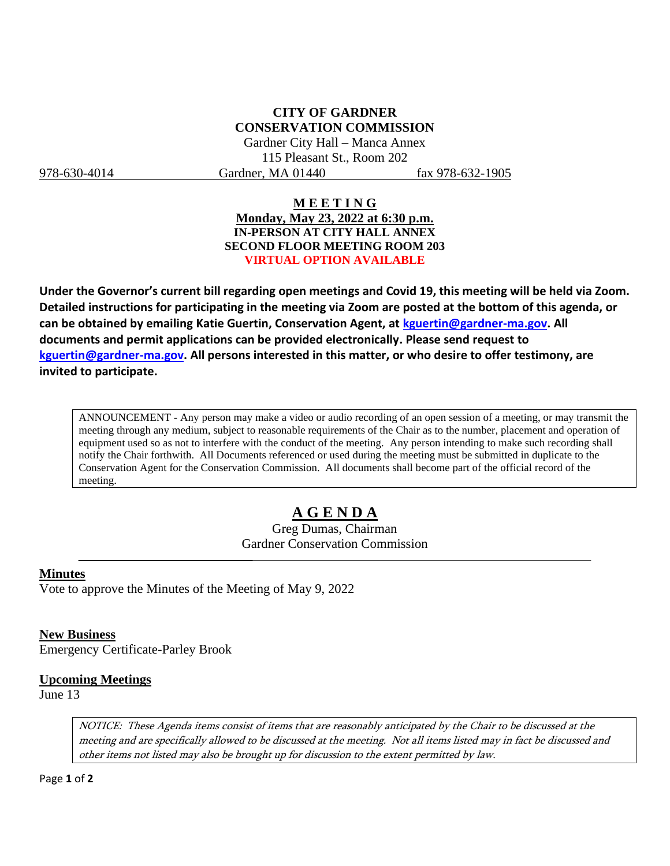## **CITY OF GARDNER CONSERVATION COMMISSION**

Gardner City Hall – Manca Annex 115 Pleasant St., Room 202 978-630-4014 Gardner, MA 01440 fax 978-632-1905

### **M E E T I N G Monday, May 23, 2022 at 6:30 p.m. IN-PERSON AT CITY HALL ANNEX SECOND FLOOR MEETING ROOM 203 VIRTUAL OPTION AVAILABLE**

**Under the Governor's current bill regarding open meetings and Covid 19, this meeting will be held via Zoom. Detailed instructions for participating in the meeting via Zoom are posted at the bottom of this agenda, or can be obtained by emailing Katie Guertin, Conservation Agent, at [kguertin@gardner-ma.gov.](mailto:kguertin@gardner-ma.gov) All documents and permit applications can be provided electronically. Please send request to [kguertin@gardner-ma.gov.](mailto:kguertin@gardner-ma.gov) All persons interested in this matter, or who desire to offer testimony, are invited to participate.**

ANNOUNCEMENT - Any person may make a video or audio recording of an open session of a meeting, or may transmit the meeting through any medium, subject to reasonable requirements of the Chair as to the number, placement and operation of equipment used so as not to interfere with the conduct of the meeting. Any person intending to make such recording shall notify the Chair forthwith. All Documents referenced or used during the meeting must be submitted in duplicate to the Conservation Agent for the Conservation Commission. All documents shall become part of the official record of the meeting.

# **A G E N D A**

Greg Dumas, Chairman Gardner Conservation Commission

#### **Minutes**

Vote to approve the Minutes of the Meeting of May 9, 2022

#### **New Business**

Emergency Certificate-Parley Brook

#### **Upcoming Meetings**

June 13

NOTICE: These Agenda items consist of items that are reasonably anticipated by the Chair to be discussed at the meeting and are specifically allowed to be discussed at the meeting. Not all items listed may in fact be discussed and other items not listed may also be brought up for discussion to the extent permitted by law.

Page **1** of **2**